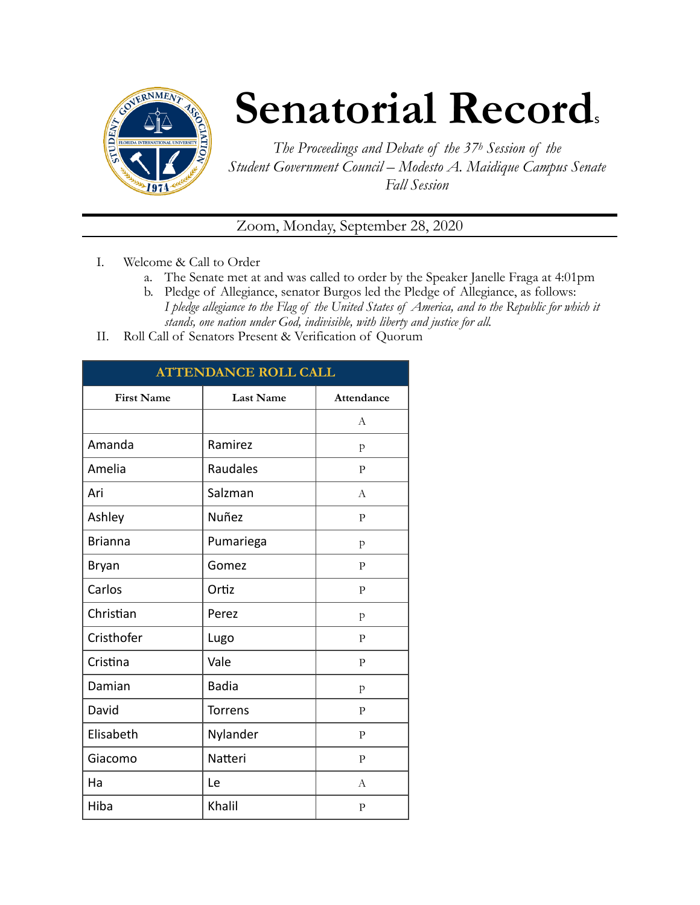

# **Senatorial Records**

*The Proceedings and Debate of the 37h Session of the Student Government Council – Modesto A. Maidique Campus Senate Fall Session* 

Zoom, Monday, September 28, 2020

- I. Welcome & Call to Order
	- a. The Senate met at and was called to order by the Speaker Janelle Fraga at 4:01pm
	- b. Pledge of Allegiance, senator Burgos led the Pledge of Allegiance, as follows: *I pledge allegiance to the Flag of the United States of America, and to the Republic for which it stands, one nation under God, indivisible, with liberty and justice for all.*
- II. Roll Call of Senators Present & Verification of Quorum

| <b>ATTENDANCE ROLL CALL</b> |                  |                |  |
|-----------------------------|------------------|----------------|--|
| <b>First Name</b>           | <b>Last Name</b> | Attendance     |  |
|                             |                  | A              |  |
| Amanda                      | Ramirez          | p              |  |
| Amelia                      | Raudales         | P              |  |
| Ari                         | Salzman          | A              |  |
| Ashley                      | Nuñez            | $\mathbf{P}$   |  |
| <b>Brianna</b>              | Pumariega        | $\mathbf{p}$   |  |
| Bryan                       | Gomez            | P              |  |
| Carlos                      | Ortiz            | $\mathbf{P}$   |  |
| Christian                   | Perez            | p              |  |
| Cristhofer                  | Lugo             | $\mathbf{P}$   |  |
| Cristina                    | Vale             | $\mathbf{P}$   |  |
| Damian                      | <b>Badia</b>     | $\mathbf{p}$   |  |
| David                       | <b>Torrens</b>   | $\mathbf{P}$   |  |
| Elisabeth                   | Nylander         | $\mathbf{P}$   |  |
| Giacomo                     | Natteri          | $\mathbf{P}$   |  |
| Ha                          | Le               | $\overline{A}$ |  |
| Hiba                        | Khalil           | $\mathbf{P}$   |  |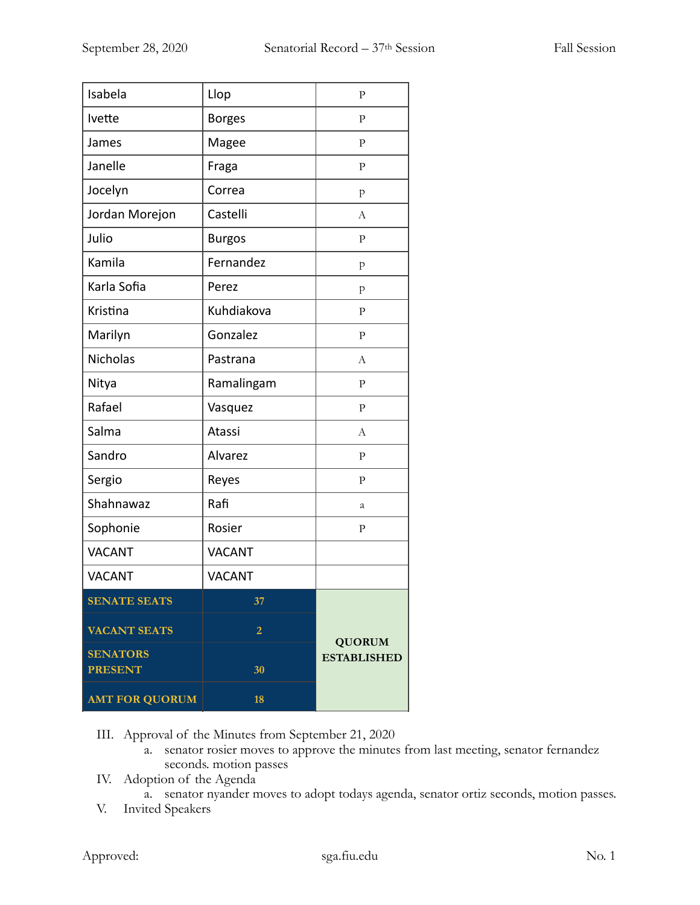| Isabela               | Llop           | $\mathbf{P}$                        |
|-----------------------|----------------|-------------------------------------|
| Ivette                | <b>Borges</b>  | $\mathbf{P}$                        |
| James                 | Magee          | $\mathbf{P}$                        |
| Janelle               | Fraga          | ${\bf P}$                           |
| Jocelyn               | Correa         | p                                   |
| Jordan Morejon        | Castelli       | A                                   |
| Julio                 | <b>Burgos</b>  | $\mathbf{P}$                        |
| Kamila                | Fernandez      | p                                   |
| Karla Sofia           | Perez          | p                                   |
| Kristina              | Kuhdiakova     | $\mathbf{P}$                        |
| Marilyn               | Gonzalez       | $\mathbf{P}$                        |
| Nicholas              | Pastrana       | А                                   |
| Nitya                 | Ramalingam     | $\mathbf{P}$                        |
| Rafael                | Vasquez        | $\mathbf{P}$                        |
| Salma                 | Atassi         | А                                   |
| Sandro                | Alvarez        | $\mathbf{P}$                        |
| Sergio                | Reyes          | $\mathbf{P}$                        |
| Shahnawaz             | Rafi           | а                                   |
| Sophonie              | Rosier         | $\mathbf{P}$                        |
| <b>VACANT</b>         | <b>VACANT</b>  |                                     |
| <b>VACANT</b>         | <b>VACANT</b>  |                                     |
| <b>SENATE SEATS</b>   | 37             |                                     |
| <b>VACANT SEATS</b>   | $\overline{2}$ |                                     |
| <b>SENATORS</b>       |                | <b>QUORUM</b><br><b>ESTABLISHED</b> |
| <b>PRESENT</b>        | 30             |                                     |
| <b>AMT FOR QUORUM</b> | 18             |                                     |

III. Approval of the Minutes from September 21, 2020

- a. senator rosier moves to approve the minutes from last meeting, senator fernandez seconds. motion passes
- IV. Adoption of the Agenda
	- a. senator nyander moves to adopt todays agenda, senator ortiz seconds, motion passes.
- V. Invited Speakers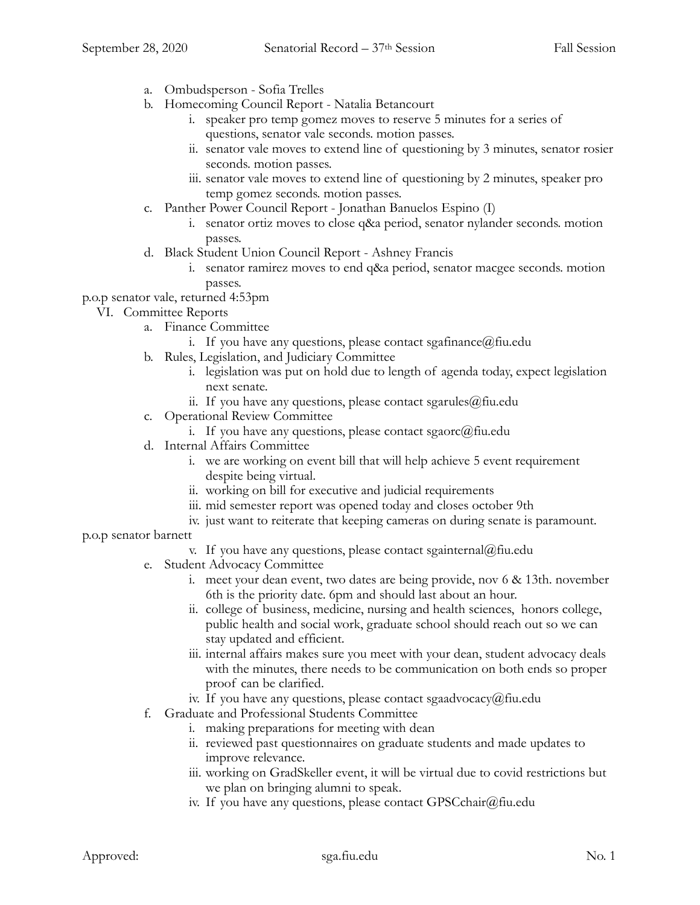- a. Ombudsperson Sofia Trelles
- b. Homecoming Council Report Natalia Betancourt
	- i. speaker pro temp gomez moves to reserve 5 minutes for a series of questions, senator vale seconds. motion passes.
	- ii. senator vale moves to extend line of questioning by 3 minutes, senator rosier seconds. motion passes.
	- iii. senator vale moves to extend line of questioning by 2 minutes, speaker pro temp gomez seconds. motion passes.
- c. Panther Power Council Report Jonathan Banuelos Espino (I)
	- i. senator ortiz moves to close q&a period, senator nylander seconds. motion passes.
- d. Black Student Union Council Report Ashney Francis
	- i. senator ramirez moves to end q&a period, senator macgee seconds. motion passes.

## p.o.p senator vale, returned 4:53pm

- VI. Committee Reports
	- a. Finance Committee
		- i. If you have any questions, please contact sgafinance  $@$  fiu.edu
	- b. Rules, Legislation, and Judiciary Committee
		- i. legislation was put on hold due to length of agenda today, expect legislation next senate.
		- ii. If you have any questions, please contact sgarules@fiu.edu
	- c. Operational Review Committee
		- i. If you have any questions, please contact sgaorc@fiu.edu
	- d. Internal Affairs Committee
		- i. we are working on event bill that will help achieve 5 event requirement despite being virtual.
		- ii. working on bill for executive and judicial requirements
		- iii. mid semester report was opened today and closes october 9th
		- iv. just want to reiterate that keeping cameras on during senate is paramount.

#### p.o.p senator barnett

- v. If you have any questions, please contact sgainternal@fiu.edu
- e. Student Advocacy Committee
	- i. meet your dean event, two dates are being provide, nov 6 & 13th. november 6th is the priority date. 6pm and should last about an hour.
	- ii. college of business, medicine, nursing and health sciences, honors college, public health and social work, graduate school should reach out so we can stay updated and efficient.
	- iii. internal affairs makes sure you meet with your dean, student advocacy deals with the minutes, there needs to be communication on both ends so proper proof can be clarified.
	- iv. If you have any questions, please contact sgaadvocacy@fiu.edu
- f. Graduate and Professional Students Committee
	- i. making preparations for meeting with dean
	- ii. reviewed past questionnaires on graduate students and made updates to improve relevance.
	- iii. working on GradSkeller event, it will be virtual due to covid restrictions but we plan on bringing alumni to speak.
	- iv. If you have any questions, please contact GPSCchair@fiu.edu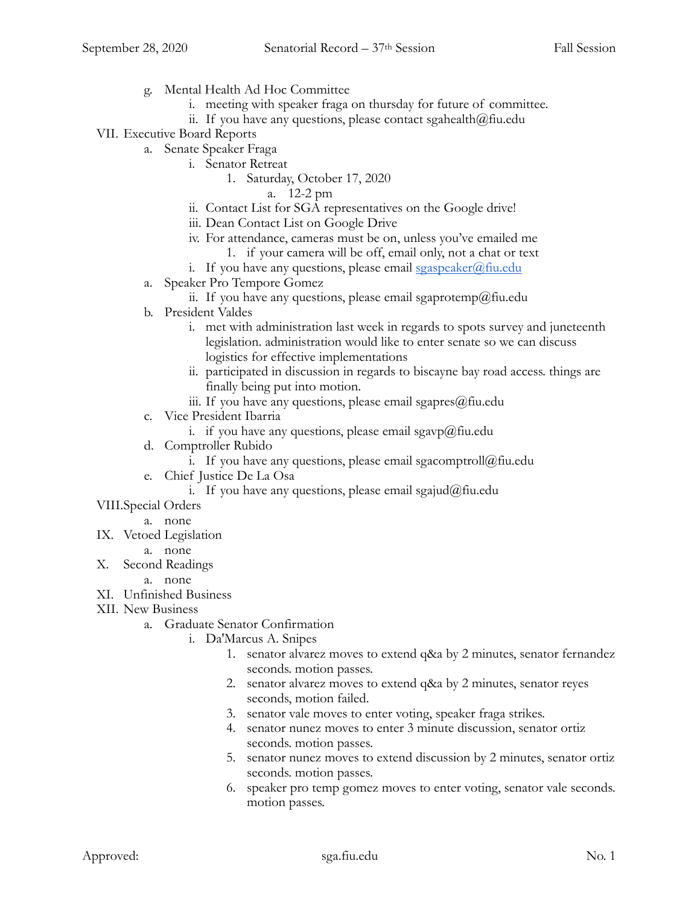- g. Mental Health Ad Hoc Committee
	- i. meeting with speaker fraga on thursday for future of committee.
	- ii. If you have any questions, please contact sgahealth $@$ fiu.edu
- VII. Executive Board Reports
	- a. Senate Speaker Fraga
		- i. Senator Retreat
			- 1. Saturday, October 17, 2020
				- a. 12-2 pm
		- ii. Contact List for SGA representatives on the Google drive!
		- iii. Dean Contact List on Google Drive
		- iv. For attendance, cameras must be on, unless you've emailed me
			- 1. if your camera will be off, email only, not a chat or text
		- i. If you have any questions, please email  $sgaspeaker(\mathcal{Q})$  fiu.edu
	- a. Speaker Pro Tempore Gomez
		- ii. If you have any questions, please email sgaprotemp@fiu.edu
	- b. President Valdes
		- i. met with administration last week in regards to spots survey and juneteenth legislation. administration would like to enter senate so we can discuss logistics for effective implementations
		- ii. participated in discussion in regards to biscayne bay road access. things are finally being put into motion.
		- iii. If you have any questions, please email sgapres $@$ fiu.edu
	- c. Vice President Ibarria
		- i. if you have any questions, please email sgavp@fiu.edu
	- d. Comptroller Rubido
		- i. If you have any questions, please email sgacomptroll@fiu.edu
	- e. Chief Justice De La Osa
		- i. If you have any questions, please email sgajud@fiu.edu
- VIII.Special Orders
	- a. none
- IX. Vetoed Legislation
	- a. none
- X. Second Readings
	- a. none
- XI. Unfinished Business
- XII. New Business
	- a. Graduate Senator Confirmation
		- i. Da'Marcus A. Snipes
			- 1. senator alvarez moves to extend q&a by 2 minutes, senator fernandez seconds. motion passes.
			- 2. senator alvarez moves to extend q&a by 2 minutes, senator reyes seconds, motion failed.
			- 3. senator vale moves to enter voting, speaker fraga strikes.
			- 4. senator nunez moves to enter 3 minute discussion, senator ortiz seconds. motion passes.
			- 5. senator nunez moves to extend discussion by 2 minutes, senator ortiz seconds. motion passes.
			- 6. speaker pro temp gomez moves to enter voting, senator vale seconds. motion passes.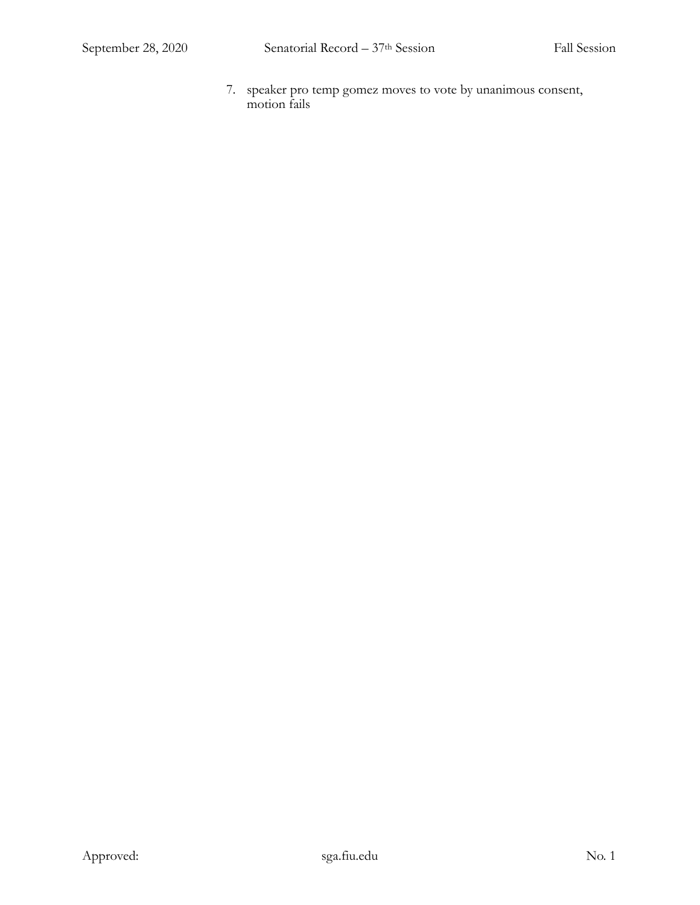7. speaker pro temp gomez moves to vote by unanimous consent, motion fails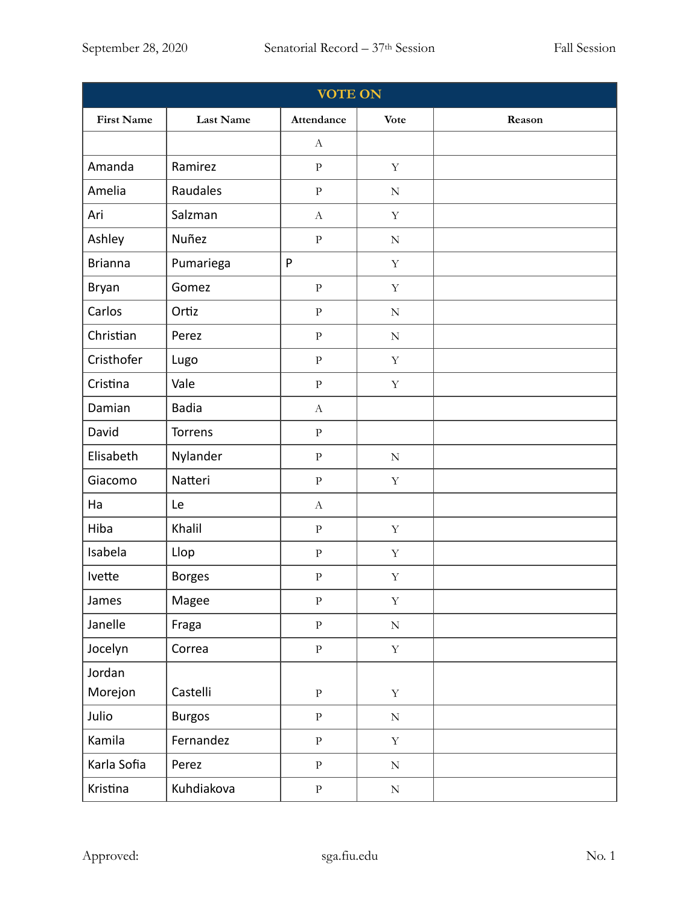| <b>VOTE ON</b>    |                  |                           |             |        |
|-------------------|------------------|---------------------------|-------------|--------|
| <b>First Name</b> | <b>Last Name</b> | Attendance                | <b>Vote</b> | Reason |
|                   |                  | $\mathbf{A}$              |             |        |
| Amanda            | Ramirez          | ${\bf p}$                 | $\mathbf Y$ |        |
| Amelia            | Raudales         | ${\bf P}$                 | ${\bf N}$   |        |
| Ari               | Salzman          | $\boldsymbol{A}$          | $\mathbf Y$ |        |
| Ashley            | Nuñez            | ${\bf P}$                 | ${\bf N}$   |        |
| <b>Brianna</b>    | Pumariega        | P                         | $\mathbf Y$ |        |
| Bryan             | Gomez            | $\rm P$                   | $\mathbf Y$ |        |
| Carlos            | Ortiz            | ${\bf P}$                 | $\mathbf N$ |        |
| Christian         | Perez            | ${\bf P}$                 | ${\bf N}$   |        |
| Cristhofer        | Lugo             | ${\bf P}$                 | $\mathbf Y$ |        |
| Cristina          | Vale             | ${\bf P}$                 | $\mathbf Y$ |        |
| Damian            | <b>Badia</b>     | $\mathbf{A}$              |             |        |
| David             | Torrens          | ${\bf P}$                 |             |        |
| Elisabeth         | Nylander         | $\, {\bf p}$              | ${\bf N}$   |        |
| Giacomo           | Natteri          | ${\bf P}$                 | $\mathbf Y$ |        |
| Ha                | Le               | $\boldsymbol{\mathrm{A}}$ |             |        |
| Hiba              | Khalil           | ${\bf P}$                 | $\mathbf Y$ |        |
| Isabela           | Llop             | ${\bf P}$                 | $\mathbf Y$ |        |
| Ivette            | <b>Borges</b>    | $\rm P$                   | $\mathbf Y$ |        |
| James             | Magee            | ${\bf P}$                 | $\mathbf Y$ |        |
| Janelle           | Fraga            | $\, {\bf p}$              | $\mathbf N$ |        |
| Jocelyn           | Correa           | $\, {\bf p}$              | $\mathbf Y$ |        |
| Jordan            |                  |                           |             |        |
| Morejon           | Castelli         | $\, {\bf p}$              | $\mathbf Y$ |        |
| Julio             | <b>Burgos</b>    | $\rm P$                   | ${\bf N}$   |        |
| Kamila            | Fernandez        | $\, {\bf p}$              | $\mathbf Y$ |        |
| Karla Sofia       | Perez            | $\rm P$                   | ${\bf N}$   |        |
| Kristina          | Kuhdiakova       | $\rm P$                   | ${\rm N}$   |        |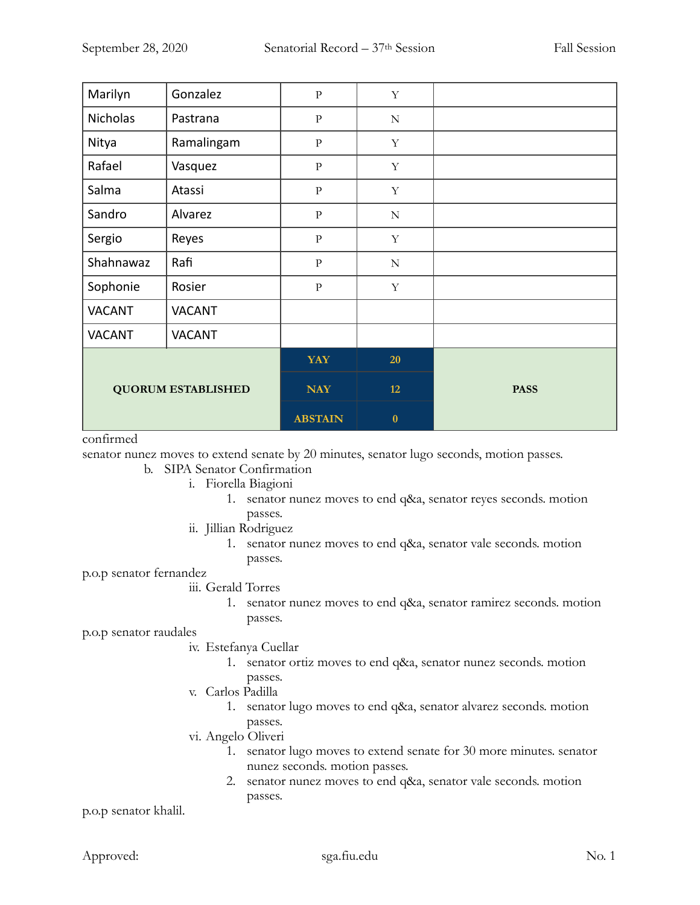| Marilyn                   | Gonzalez      | $\overline{P}$ | $\mathbf Y$ |             |
|---------------------------|---------------|----------------|-------------|-------------|
| <b>Nicholas</b>           | Pastrana      | $\rm P$        | ${\bf N}$   |             |
| Nitya                     | Ramalingam    | ${\bf P}$      | Y           |             |
| Rafael                    | Vasquez       | $\overline{P}$ | $\mathbf Y$ |             |
| Salma                     | Atassi        | ${\bf p}$      | $\mathbf Y$ |             |
| Sandro                    | Alvarez       | $\overline{P}$ | ${\bf N}$   |             |
| Sergio                    | Reyes         | $\overline{P}$ | $\mathbf Y$ |             |
| Shahnawaz                 | Rafi          | ${\bf P}$      | ${\bf N}$   |             |
| Sophonie                  | Rosier        | $\rm P$        | $\mathbf Y$ |             |
| <b>VACANT</b>             | <b>VACANT</b> |                |             |             |
| <b>VACANT</b>             | <b>VACANT</b> |                |             |             |
| <b>QUORUM ESTABLISHED</b> |               | YAY            | 20          |             |
|                           |               | <b>NAY</b>     | 12          | <b>PASS</b> |
|                           |               | <b>ABSTAIN</b> | $\bf{0}$    |             |

#### confirmed

senator nunez moves to extend senate by 20 minutes, senator lugo seconds, motion passes.

- b. SIPA Senator Confirmation
	- i. Fiorella Biagioni
		- 1. senator nunez moves to end q&a, senator reyes seconds. motion passes.
	- ii. Jillian Rodriguez
		- 1. senator nunez moves to end q&a, senator vale seconds. motion passes.

p.o.p senator fernandez

- iii. Gerald Torres
	- 1. senator nunez moves to end q&a, senator ramirez seconds. motion passes.

p.o.p senator raudales

#### iv. Estefanya Cuellar

- 1. senator ortiz moves to end q&a, senator nunez seconds. motion passes.
- v. Carlos Padilla
	- 1. senator lugo moves to end q&a, senator alvarez seconds. motion passes.
- vi. Angelo Oliveri
	- 1. senator lugo moves to extend senate for 30 more minutes. senator nunez seconds. motion passes.
	- 2. senator nunez moves to end q&a, senator vale seconds. motion passes.

p.o.p senator khalil.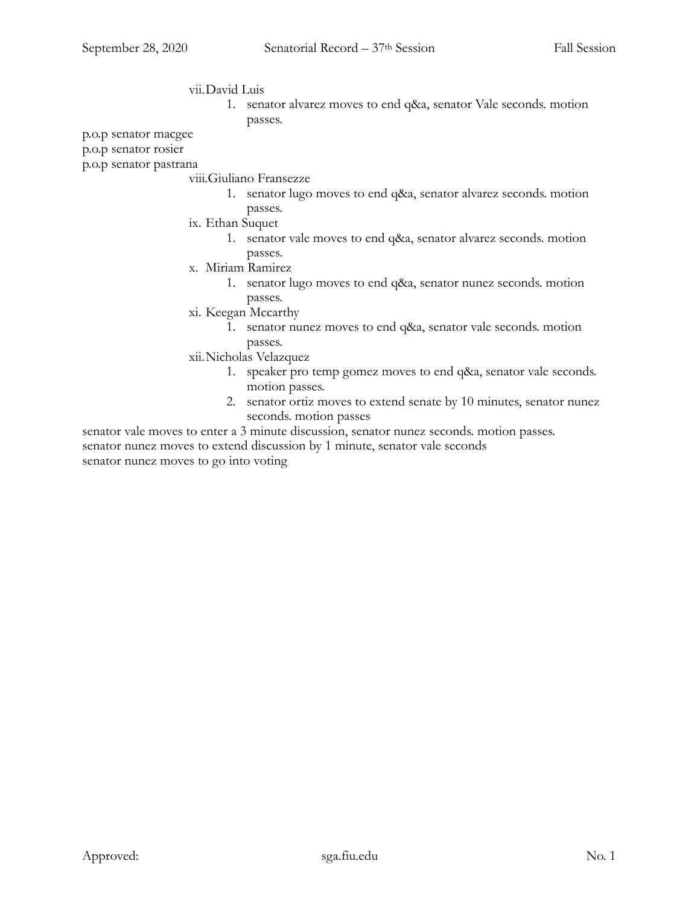## vii.David Luis

1. senator alvarez moves to end q&a, senator Vale seconds. motion passes.

p.o.p senator macgee

p.o.p senator rosier

p.o.p senator pastrana

#### viii.Giuliano Fransezze

- 1. senator lugo moves to end q&a, senator alvarez seconds. motion passes.
- ix. Ethan Suquet
	- 1. senator vale moves to end q&a, senator alvarez seconds. motion passes.
- x. Miriam Ramirez
	- 1. senator lugo moves to end q&a, senator nunez seconds. motion passes.
- xi. Keegan Mccarthy
	- 1. senator nunez moves to end q&a, senator vale seconds. motion passes.
- xii.Nicholas Velazquez
	- 1. speaker pro temp gomez moves to end q&a, senator vale seconds. motion passes.
	- 2. senator ortiz moves to extend senate by 10 minutes, senator nunez seconds. motion passes

senator vale moves to enter a 3 minute discussion, senator nunez seconds. motion passes. senator nunez moves to extend discussion by 1 minute, senator vale seconds senator nunez moves to go into voting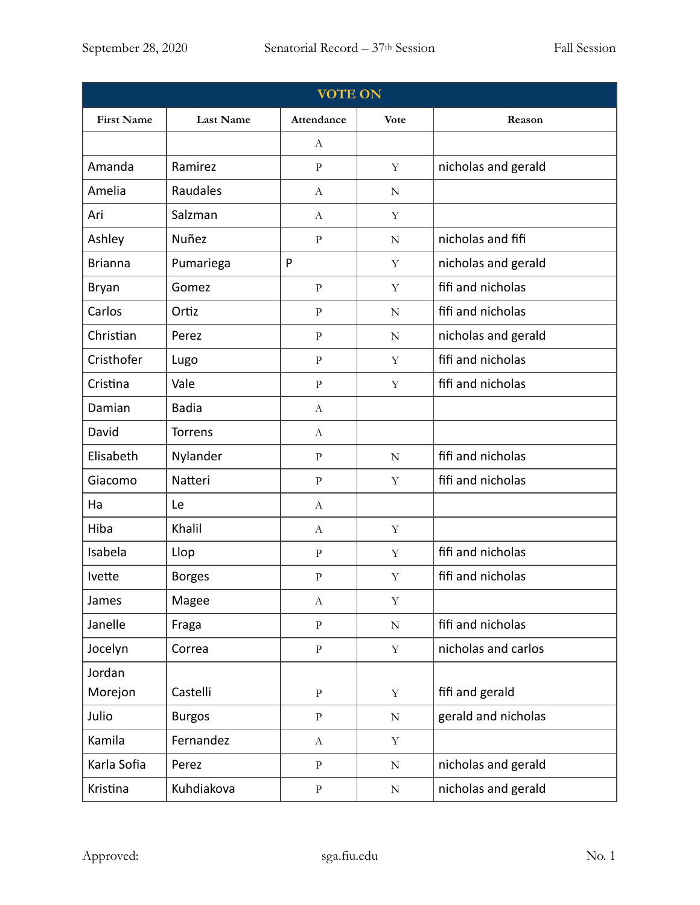| <b>VOTE ON</b>    |                  |                  |             |                     |
|-------------------|------------------|------------------|-------------|---------------------|
| <b>First Name</b> | <b>Last Name</b> | Attendance       | <b>Vote</b> | Reason              |
|                   |                  | А                |             |                     |
| Amanda            | Ramirez          | $\, {\bf p}$     | Y           | nicholas and gerald |
| Amelia            | Raudales         | $\boldsymbol{A}$ | ${\bf N}$   |                     |
| Ari               | Salzman          | $\boldsymbol{A}$ | Y           |                     |
| Ashley            | Nuñez            | $\rm P$          | ${\bf N}$   | nicholas and fifi   |
| <b>Brianna</b>    | Pumariega        | P                | Y           | nicholas and gerald |
| Bryan             | Gomez            | $\rm{P}$         | $\mathbf Y$ | fifi and nicholas   |
| Carlos            | Ortiz            | $\, {\bf p}$     | N           | fifi and nicholas   |
| Christian         | Perez            | $\rm{P}$         | N           | nicholas and gerald |
| Cristhofer        | Lugo             | $\, {\bf p}$     | Y           | fifi and nicholas   |
| Cristina          | Vale             | $\rm{P}$         | Y           | fifi and nicholas   |
| Damian            | <b>Badia</b>     | $\mathbf{A}$     |             |                     |
| David             | <b>Torrens</b>   | $\mathbf{A}$     |             |                     |
| Elisabeth         | Nylander         | $\mathbf{P}$     | $\mathbf N$ | fifi and nicholas   |
| Giacomo           | Natteri          | $\, {\bf p}$     | Y           | fifi and nicholas   |
| Ha                | Le               | $\boldsymbol{A}$ |             |                     |
| Hiba              | Khalil           | $\boldsymbol{A}$ | Y           |                     |
| Isabela           | Llop             | $\rm P$          | $\mathbf Y$ | fifi and nicholas   |
| Ivette            | <b>Borges</b>    | $\mathbf{P}$     | $\mathbf Y$ | fifi and nicholas   |
| James             | Magee            | $\boldsymbol{A}$ | $\mathbf Y$ |                     |
| Janelle           | Fraga            | $\rm P$          | ${\bf N}$   | fifi and nicholas   |
| Jocelyn           | Correa           | $\mathbf{P}$     | $\mathbf Y$ | nicholas and carlos |
| Jordan            |                  |                  |             |                     |
| Morejon           | Castelli         | $\mathbf{P}$     | $\mathbf Y$ | fifi and gerald     |
| Julio             | <b>Burgos</b>    | $\, {\bf p}$     | ${\bf N}$   | gerald and nicholas |
| Kamila            | Fernandez        | $\mathbf{A}$     | $\mathbf Y$ |                     |
| Karla Sofia       | Perez            | $\, {\bf p}$     | ${\bf N}$   | nicholas and gerald |
| Kristina          | Kuhdiakova       | $\rm P$          | ${\bf N}$   | nicholas and gerald |